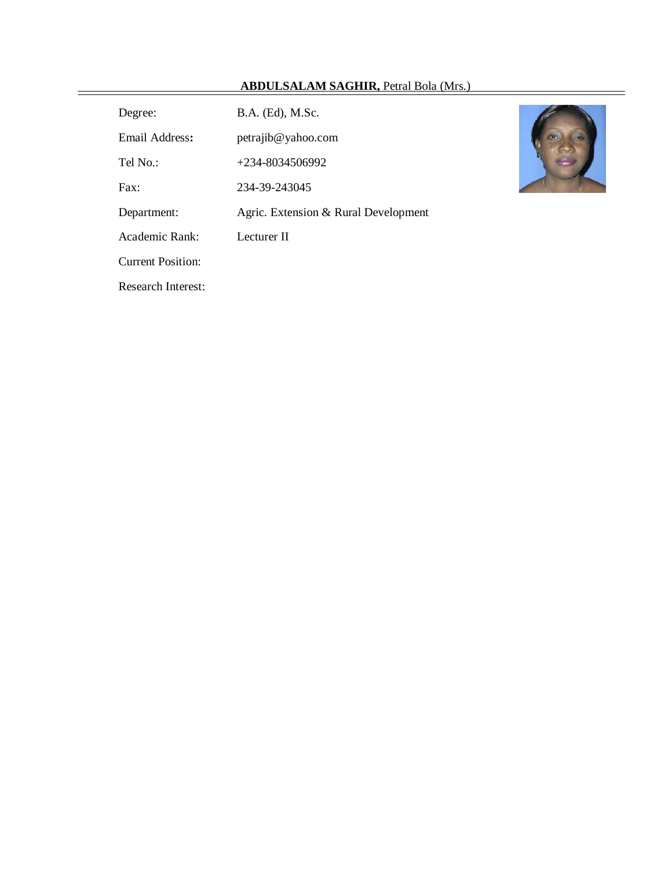# **ABDULSALAM SAGHIR,** Petral Bola (Mrs.)

| Degree:           | B.A. (Ed), M.Sc.                     |
|-------------------|--------------------------------------|
| Email Address:    | petrajib@yahoo.com                   |
| Tel No.:          | $+234 - 8034506992$                  |
| $\text{Fax}:$     | 234-39-243045                        |
| Department:       | Agric. Extension & Rural Development |
| Academic Rank:    | Lecturer II                          |
| Current Position: |                                      |

Research Interest:



 $=$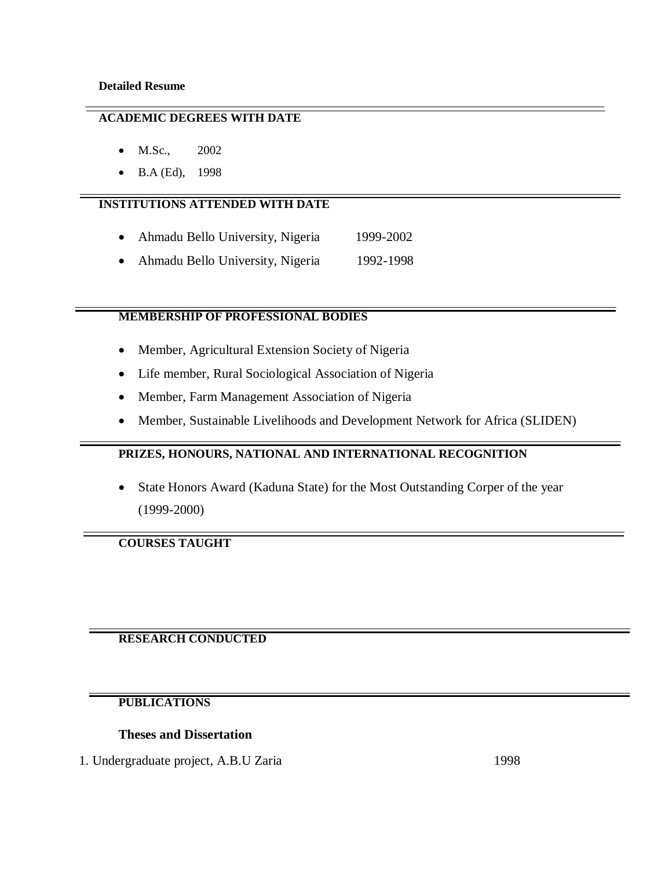## **ACADEMIC DEGREES WITH DATE**

- M.Sc., 2002
- B.A (Ed), 1998

## **INSTITUTIONS ATTENDED WITH DATE**

- Ahmadu Bello University, Nigeria 1999-2002
- Ahmadu Bello University, Nigeria 1992-1998

# **MEMBERSHIP OF PROFESSIONAL BODIES**

- Member, Agricultural Extension Society of Nigeria
- Life member, Rural Sociological Association of Nigeria
- Member, Farm Management Association of Nigeria
- Member, Sustainable Livelihoods and Development Network for Africa (SLIDEN)

## **PRIZES, HONOURS, NATIONAL AND INTERNATIONAL RECOGNITION**

 State Honors Award (Kaduna State) for the Most Outstanding Corper of the year (1999-2000)

# **COURSES TAUGHT**

# **RESEARCH CONDUCTED**

# **PUBLICATIONS**

## **Theses and Dissertation**

1. Undergraduate project, A.B.U Zaria 1998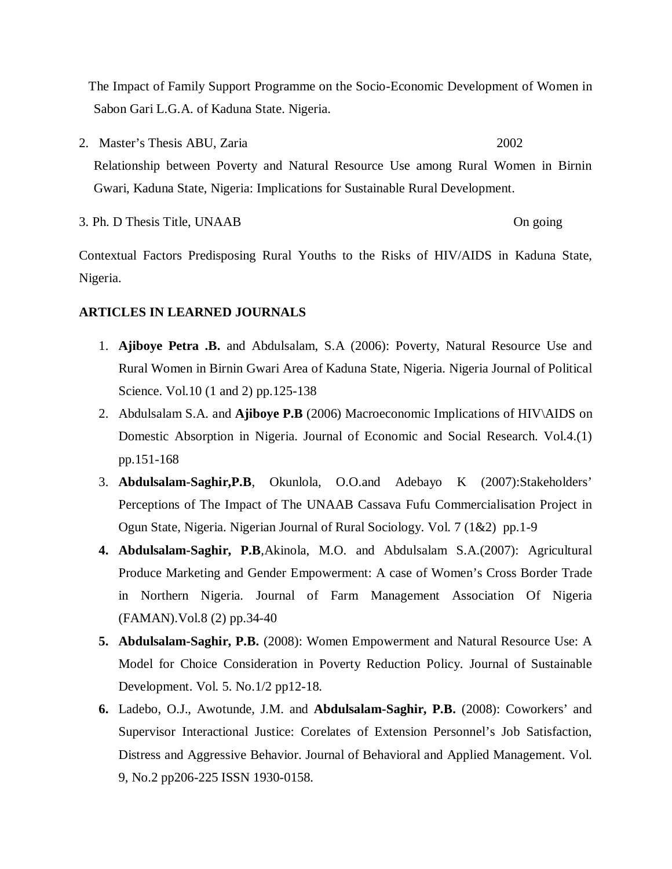The Impact of Family Support Programme on the Socio-Economic Development of Women in Sabon Gari L.G.A. of Kaduna State. Nigeria.

2. Master's Thesis ABU, Zaria 2002 Relationship between Poverty and Natural Resource Use among Rural Women in Birnin Gwari, Kaduna State, Nigeria: Implications for Sustainable Rural Development.

3. Ph. D Thesis Title, UNAAB On going

Contextual Factors Predisposing Rural Youths to the Risks of HIV/AIDS in Kaduna State, Nigeria.

## **ARTICLES IN LEARNED JOURNALS**

- 1. **Ajiboye Petra .B.** and Abdulsalam, S.A (2006): Poverty, Natural Resource Use and Rural Women in Birnin Gwari Area of Kaduna State, Nigeria. Nigeria Journal of Political Science. Vol.10 (1 and 2) pp.125-138
- 2. Abdulsalam S.A. and **Ajiboye P.B** (2006) Macroeconomic Implications of HIV\AIDS on Domestic Absorption in Nigeria. Journal of Economic and Social Research. Vol.4.(1) pp.151-168
- 3. **Abdulsalam-Saghir,P.B**, Okunlola, O.O.and Adebayo K (2007):Stakeholders' Perceptions of The Impact of The UNAAB Cassava Fufu Commercialisation Project in Ogun State, Nigeria. Nigerian Journal of Rural Sociology. Vol. 7 (1&2) pp.1-9
- **4. Abdulsalam-Saghir, P.B**,Akinola, M.O. and Abdulsalam S.A.(2007): Agricultural Produce Marketing and Gender Empowerment: A case of Women's Cross Border Trade in Northern Nigeria. Journal of Farm Management Association Of Nigeria (FAMAN).Vol.8 (2) pp.34-40
- **5. Abdulsalam-Saghir, P.B.** (2008): Women Empowerment and Natural Resource Use: A Model for Choice Consideration in Poverty Reduction Policy. Journal of Sustainable Development. Vol. 5. No.1/2 pp12-18.
- **6.** Ladebo, O.J., Awotunde, J.M. and **Abdulsalam-Saghir, P.B.** (2008): Coworkers' and Supervisor Interactional Justice: Corelates of Extension Personnel's Job Satisfaction, Distress and Aggressive Behavior. Journal of Behavioral and Applied Management. Vol. 9, No.2 pp206-225 ISSN 1930-0158.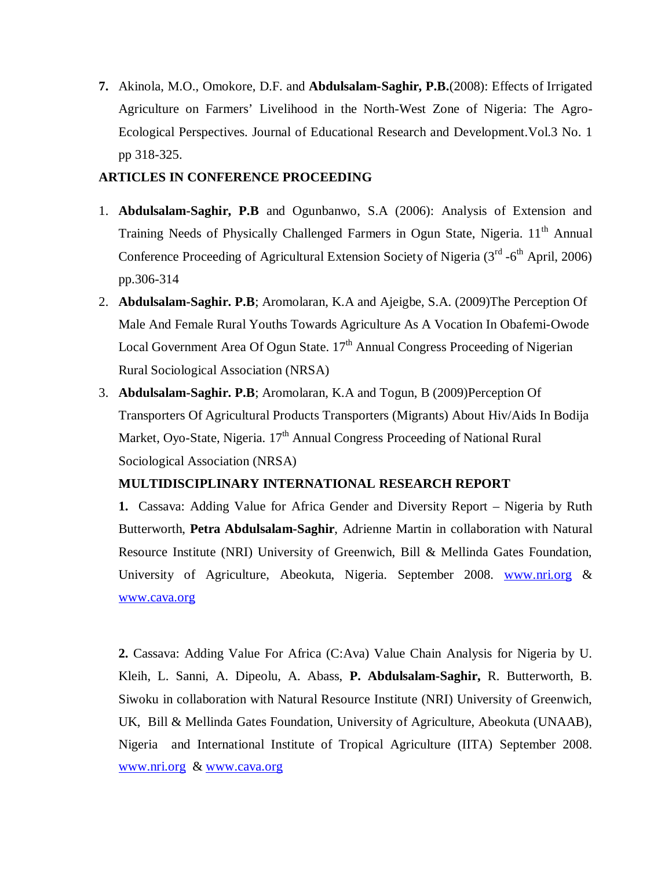**7.** Akinola, M.O., Omokore, D.F. and **Abdulsalam-Saghir, P.B.**(2008): Effects of Irrigated Agriculture on Farmers' Livelihood in the North-West Zone of Nigeria: The Agro-Ecological Perspectives. Journal of Educational Research and Development.Vol.3 No. 1 pp 318-325.

# **ARTICLES IN CONFERENCE PROCEEDING**

- 1. **Abdulsalam-Saghir, P.B** and Ogunbanwo, S.A (2006): Analysis of Extension and Training Needs of Physically Challenged Farmers in Ogun State, Nigeria. 11<sup>th</sup> Annual Conference Proceeding of Agricultural Extension Society of Nigeria (3<sup>rd</sup> -6<sup>th</sup> April, 2006) pp.306-314
- 2. **Abdulsalam-Saghir. P.B**; Aromolaran, K.A and Ajeigbe, S.A. (2009)The Perception Of Male And Female Rural Youths Towards Agriculture As A Vocation In Obafemi-Owode Local Government Area Of Ogun State.  $17<sup>th</sup>$  Annual Congress Proceeding of Nigerian Rural Sociological Association (NRSA)
- 3. **Abdulsalam-Saghir. P.B**; Aromolaran, K.A and Togun, B (2009)Perception Of Transporters Of Agricultural Products Transporters (Migrants) About Hiv/Aids In Bodija Market, Oyo-State, Nigeria.  $17<sup>th</sup>$  Annual Congress Proceeding of National Rural Sociological Association (NRSA)

# **MULTIDISCIPLINARY INTERNATIONAL RESEARCH REPORT**

**1.** Cassava: Adding Value for Africa Gender and Diversity Report – Nigeria by Ruth Butterworth, **Petra Abdulsalam-Saghir**, Adrienne Martin in collaboration with Natural Resource Institute (NRI) University of Greenwich, Bill & Mellinda Gates Foundation, University of Agriculture, Abeokuta, Nigeria. September 2008. www.nri.org & www.cava.org

**2.** Cassava: Adding Value For Africa (C:Ava) Value Chain Analysis for Nigeria by U. Kleih, L. Sanni, A. Dipeolu, A. Abass, **P. Abdulsalam-Saghir,** R. Butterworth, B. Siwoku in collaboration with Natural Resource Institute (NRI) University of Greenwich, UK, Bill & Mellinda Gates Foundation, University of Agriculture, Abeokuta (UNAAB), Nigeria and International Institute of Tropical Agriculture (IITA) September 2008. www.nri.org & www.cava.org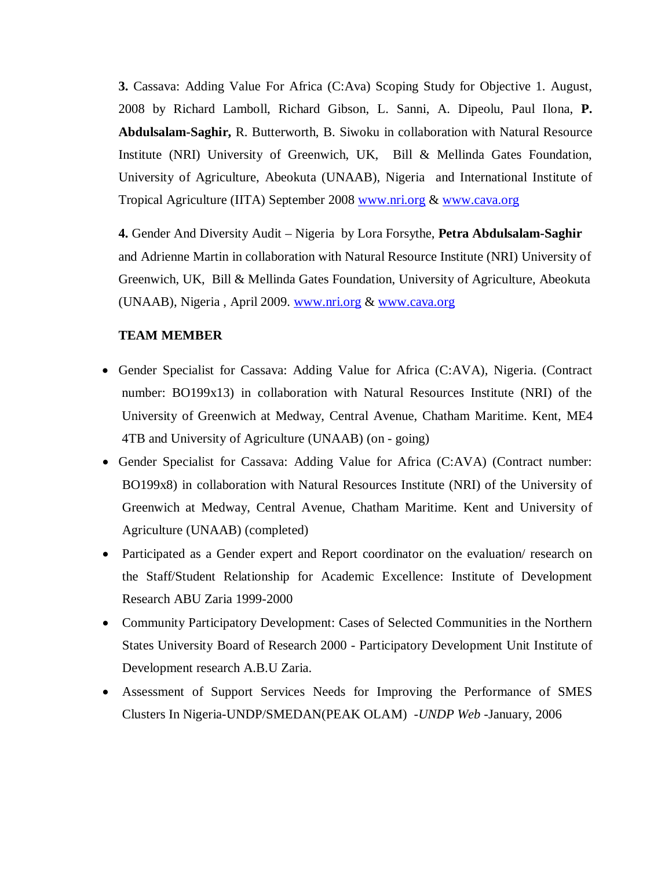**3.** Cassava: Adding Value For Africa (C:Ava) Scoping Study for Objective 1. August, 2008 by Richard Lamboll, Richard Gibson, L. Sanni, A. Dipeolu, Paul Ilona, **P. Abdulsalam-Saghir,** R. Butterworth, B. Siwoku in collaboration with Natural Resource Institute (NRI) University of Greenwich, UK, Bill & Mellinda Gates Foundation, University of Agriculture, Abeokuta (UNAAB), Nigeria and International Institute of Tropical Agriculture (IITA) September 2008 www.nri.org & www.cava.org

**4.** Gender And Diversity Audit – Nigeria by Lora Forsythe, **Petra Abdulsalam-Saghir** and Adrienne Martin in collaboration with Natural Resource Institute (NRI) University of Greenwich, UK, Bill & Mellinda Gates Foundation, University of Agriculture, Abeokuta (UNAAB), Nigeria , April 2009. www.nri.org & www.cava.org

## **TEAM MEMBER**

- Gender Specialist for Cassava: Adding Value for Africa (C:AVA), Nigeria. (Contract number: BO199x13) in collaboration with Natural Resources Institute (NRI) of the University of Greenwich at Medway, Central Avenue, Chatham Maritime. Kent, ME4 4TB and University of Agriculture (UNAAB) (on - going)
- Gender Specialist for Cassava: Adding Value for Africa (C:AVA) (Contract number: BO199x8) in collaboration with Natural Resources Institute (NRI) of the University of Greenwich at Medway, Central Avenue, Chatham Maritime. Kent and University of Agriculture (UNAAB) (completed)
- Participated as a Gender expert and Report coordinator on the evaluation/ research on the Staff/Student Relationship for Academic Excellence: Institute of Development Research ABU Zaria 1999-2000
- Community Participatory Development: Cases of Selected Communities in the Northern States University Board of Research 2000 - Participatory Development Unit Institute of Development research A.B.U Zaria.
- Assessment of Support Services Needs for Improving the Performance of SMES Clusters In Nigeria-UNDP/SMEDAN(PEAK OLAM) *-UNDP Web* -January, 2006